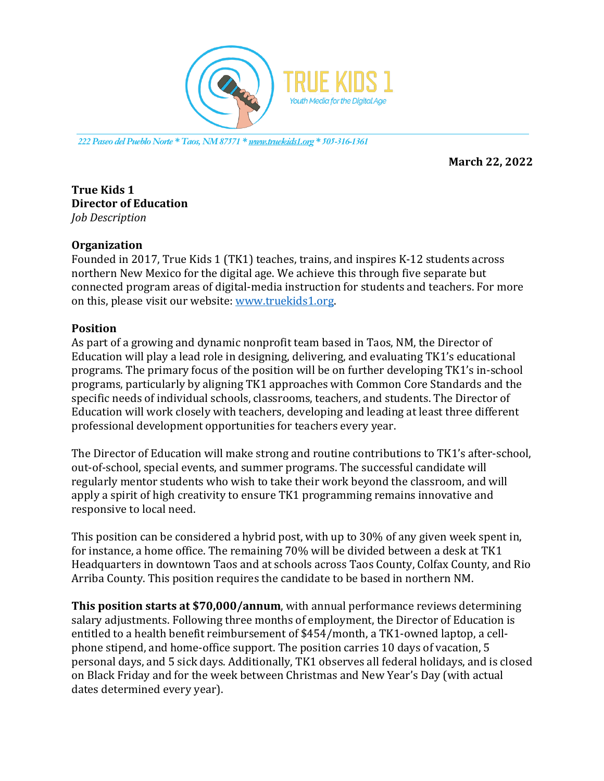

*222 Paseo del Pueblo Norte \* Taos, NM 87571 \* www.truekids1.org \* 505-316-1361*

**March 22, 2022** 

### **True Kids 1 Director of Education** *Job Description*

### **Organization**

Founded in 2017, True Kids 1 (TK1) teaches, trains, and inspires K-12 students across northern New Mexico for the digital age. We achieve this through five separate but connected program areas of digital-media instruction for students and teachers. For more on this, please visit our website: www.truekids1.org.

## **Position**

As part of a growing and dynamic nonprofit team based in Taos, NM, the Director of Education will play a lead role in designing, delivering, and evaluating TK1's educational programs. The primary focus of the position will be on further developing TK1's in-school programs, particularly by aligning TK1 approaches with Common Core Standards and the specific needs of individual schools, classrooms, teachers, and students. The Director of Education will work closely with teachers, developing and leading at least three different professional development opportunities for teachers every year.

The Director of Education will make strong and routine contributions to TK1's after-school, out-of-school, special events, and summer programs. The successful candidate will regularly mentor students who wish to take their work beyond the classroom, and will apply a spirit of high creativity to ensure TK1 programming remains innovative and responsive to local need.

This position can be considered a hybrid post, with up to 30% of any given week spent in, for instance, a home office. The remaining  $70\%$  will be divided between a desk at TK1 Headquarters in downtown Taos and at schools across Taos County, Colfax County, and Rio Arriba County. This position requires the candidate to be based in northern NM.

**This position starts at \$70,000/annum**, with annual performance reviews determining salary adjustments. Following three months of employment, the Director of Education is entitled to a health benefit reimbursement of \$454/month, a TK1-owned laptop, a cellphone stipend, and home-office support. The position carries 10 days of vacation, 5 personal days, and 5 sick days. Additionally, TK1 observes all federal holidays, and is closed on Black Friday and for the week between Christmas and New Year's Day (with actual dates determined every year).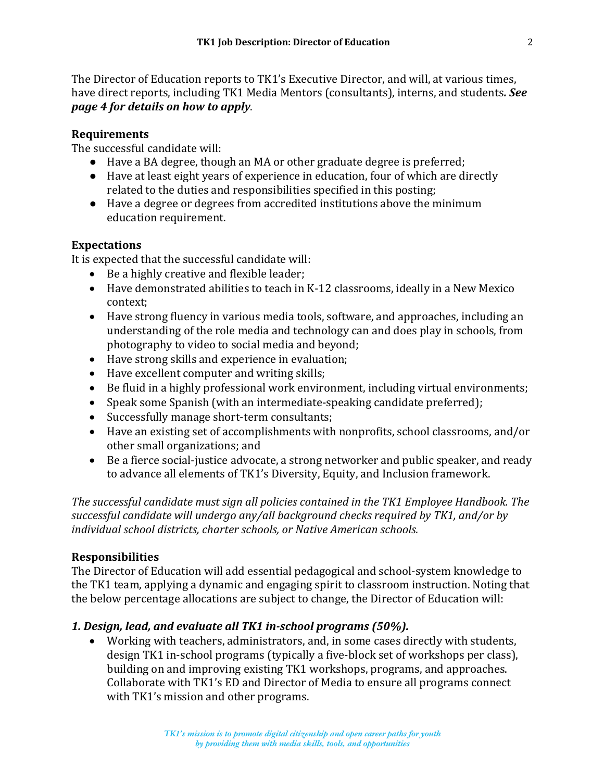The Director of Education reports to TK1's Executive Director, and will, at various times, have direct reports, including TK1 Media Mentors (consultants), interns, and students. See *page 4 for details on how to apply*. 

## **Requirements**

The successful candidate will:

- Have a BA degree, though an MA or other graduate degree is preferred;
- Have at least eight years of experience in education, four of which are directly related to the duties and responsibilities specified in this posting;
- Have a degree or degrees from accredited institutions above the minimum education requirement.

### **Expectations**

It is expected that the successful candidate will:

- Be a highly creative and flexible leader;
- Have demonstrated abilities to teach in K-12 classrooms, ideally in a New Mexico context;
- Have strong fluency in various media tools, software, and approaches, including an understanding of the role media and technology can and does play in schools, from photography to video to social media and beyond;
- Have strong skills and experience in evaluation;
- Have excellent computer and writing skills;
- Be fluid in a highly professional work environment, including virtual environments;
- Speak some Spanish (with an intermediate-speaking candidate preferred);
- Successfully manage short-term consultants;
- Have an existing set of accomplishments with nonprofits, school classrooms, and/or other small organizations; and
- Be a fierce social-justice advocate, a strong networker and public speaker, and ready to advance all elements of TK1's Diversity, Equity, and Inclusion framework.

The successful candidate must sign all policies contained in the TK1 Employee Handbook. The successful candidate will undergo any/all background checks required by TK1, and/or by individual school districts, charter schools, or Native American schools.

## **Responsibilities**

The Director of Education will add essential pedagogical and school-system knowledge to the TK1 team, applying a dynamic and engaging spirit to classroom instruction. Noting that the below percentage allocations are subject to change, the Director of Education will:

## *1. Design, lead, and evaluate all TK1 in-school programs (50%).*

• Working with teachers, administrators, and, in some cases directly with students, design TK1 in-school programs (typically a five-block set of workshops per class), building on and improving existing TK1 workshops, programs, and approaches. Collaborate with TK1's ED and Director of Media to ensure all programs connect with TK1's mission and other programs.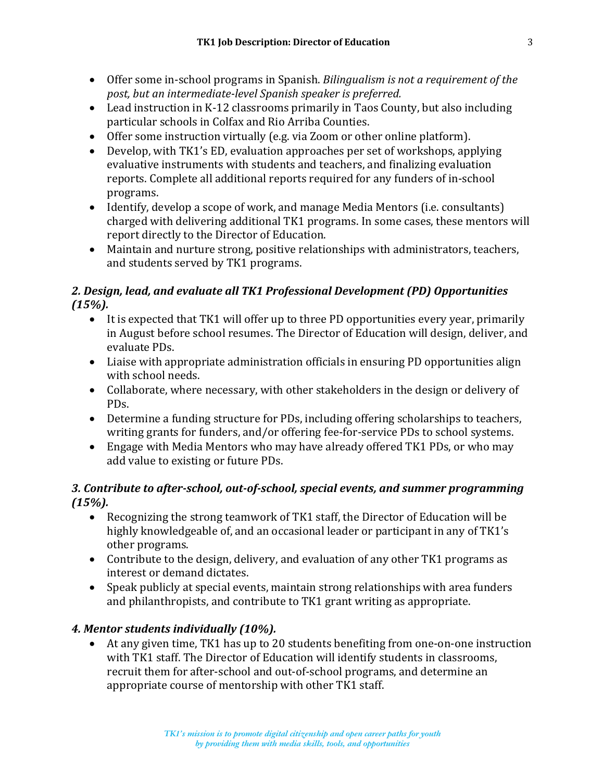- Offer some in-school programs in Spanish. *Bilingualism is not a requirement of the* post, but an intermediate-level Spanish speaker is preferred.
- Lead instruction in K-12 classrooms primarily in Taos County, but also including particular schools in Colfax and Rio Arriba Counties.
- Offer some instruction virtually (e.g. via Zoom or other online platform).
- Develop, with TK1's ED, evaluation approaches per set of workshops, applying evaluative instruments with students and teachers, and finalizing evaluation reports. Complete all additional reports required for any funders of in-school programs.
- Identify, develop a scope of work, and manage Media Mentors (i.e. consultants) charged with delivering additional TK1 programs. In some cases, these mentors will report directly to the Director of Education.
- Maintain and nurture strong, positive relationships with administrators, teachers, and students served by TK1 programs.

## 2. Design, lead, and evaluate all TK1 Professional Development (PD) Opportunities *(15%).*

- It is expected that TK1 will offer up to three PD opportunities every year, primarily in August before school resumes. The Director of Education will design, deliver, and evaluate PDs.
- Liaise with appropriate administration officials in ensuring PD opportunities align with school needs.
- Collaborate, where necessary, with other stakeholders in the design or delivery of PDs.
- Determine a funding structure for PDs, including offering scholarships to teachers, writing grants for funders, and/or offering fee-for-service PDs to school systems.
- Engage with Media Mentors who may have already offered TK1 PDs, or who may add value to existing or future PDs.

# *3. Contribute to after-school, out-of-school, special events, and summer programming (15%).*

- Recognizing the strong teamwork of TK1 staff, the Director of Education will be highly knowledgeable of, and an occasional leader or participant in any of TK1's other programs.
- Contribute to the design, delivery, and evaluation of any other TK1 programs as interest or demand dictates.
- Speak publicly at special events, maintain strong relationships with area funders and philanthropists, and contribute to TK1 grant writing as appropriate.

# **4. Mentor students individually (10%).**

• At any given time, TK1 has up to 20 students benefiting from one-on-one instruction with TK1 staff. The Director of Education will identify students in classrooms, recruit them for after-school and out-of-school programs, and determine an appropriate course of mentorship with other TK1 staff.